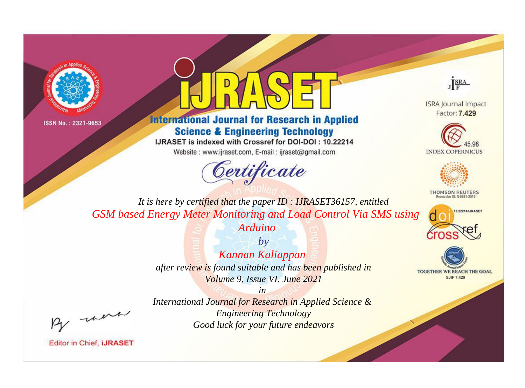



# **International Journal for Research in Applied Science & Engineering Technology**

IJRASET is indexed with Crossref for DOI-DOI: 10.22214

Website: www.ijraset.com, E-mail: ijraset@gmail.com



JERA

**ISRA Journal Impact** Factor: 7.429





**THOMSON REUTERS** 



TOGETHER WE REACH THE GOAL **SJIF 7.429** 

It is here by certified that the paper ID: IJRASET36157, entitled GSM based Energy Meter Monitoring and Load Control Via SMS using Arduino

> $by$ Kannan Kaliappan after review is found suitable and has been published in Volume 9, Issue VI, June 2021

were

International Journal for Research in Applied Science & **Engineering Technology** Good luck for your future endeavors

 $in$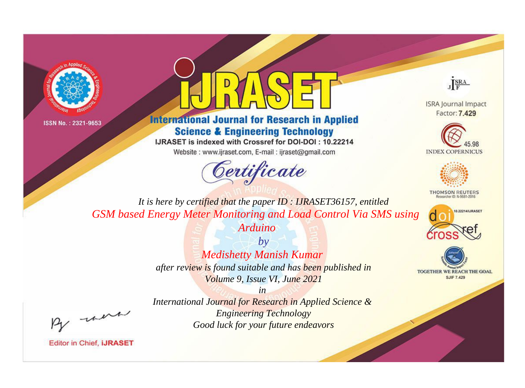



# **International Journal for Research in Applied Science & Engineering Technology**

IJRASET is indexed with Crossref for DOI-DOI: 10.22214

Website: www.ijraset.com, E-mail: ijraset@gmail.com





**ISRA Journal Impact** Factor: 7.429





**THOMSON REUTERS** 



TOGETHER WE REACH THE GOAL **SJIF 7.429** 

*It is here by certified that the paper ID : IJRASET36157, entitled GSM based Energy Meter Monitoring and Load Control Via SMS using Arduino*

> *by Medishetty Manish Kumar after review is found suitable and has been published in Volume 9, Issue VI, June 2021*

, un

*International Journal for Research in Applied Science & Engineering Technology Good luck for your future endeavors*

*in*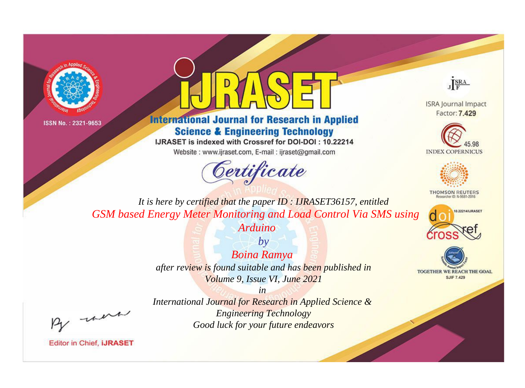



# **International Journal for Research in Applied Science & Engineering Technology**

IJRASET is indexed with Crossref for DOI-DOI: 10.22214

Website: www.ijraset.com, E-mail: ijraset@gmail.com



JERA

**ISRA Journal Impact** Factor: 7.429





**THOMSON REUTERS** 



TOGETHER WE REACH THE GOAL **SJIF 7.429** 

It is here by certified that the paper ID: IJRASET36157, entitled GSM based Energy Meter Monitoring and Load Control Via SMS using

Arduino

 $b\nu$ **Boina Ramya** after review is found suitable and has been published in Volume 9, Issue VI, June 2021

were

International Journal for Research in Applied Science & **Engineering Technology** Good luck for your future endeavors

 $in$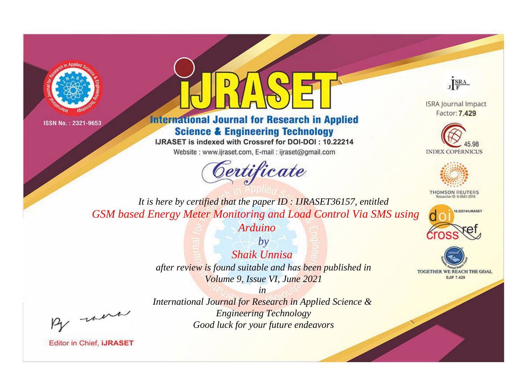



# **International Journal for Research in Applied Science & Engineering Technology**

IJRASET is indexed with Crossref for DOI-DOI: 10.22214

Website: www.ijraset.com, E-mail: ijraset@gmail.com





**ISRA Journal Impact** Factor: 7.429





**THOMSON REUTERS** 



TOGETHER WE REACH THE GOAL **SJIF 7.429** 

*It is here by certified that the paper ID : IJRASET36157, entitled GSM based Energy Meter Monitoring and Load Control Via SMS using Arduino*

> *by Shaik Unnisa after review is found suitable and has been published in Volume 9, Issue VI, June 2021*

> > *in*

, un

*International Journal for Research in Applied Science & Engineering Technology Good luck for your future endeavors*